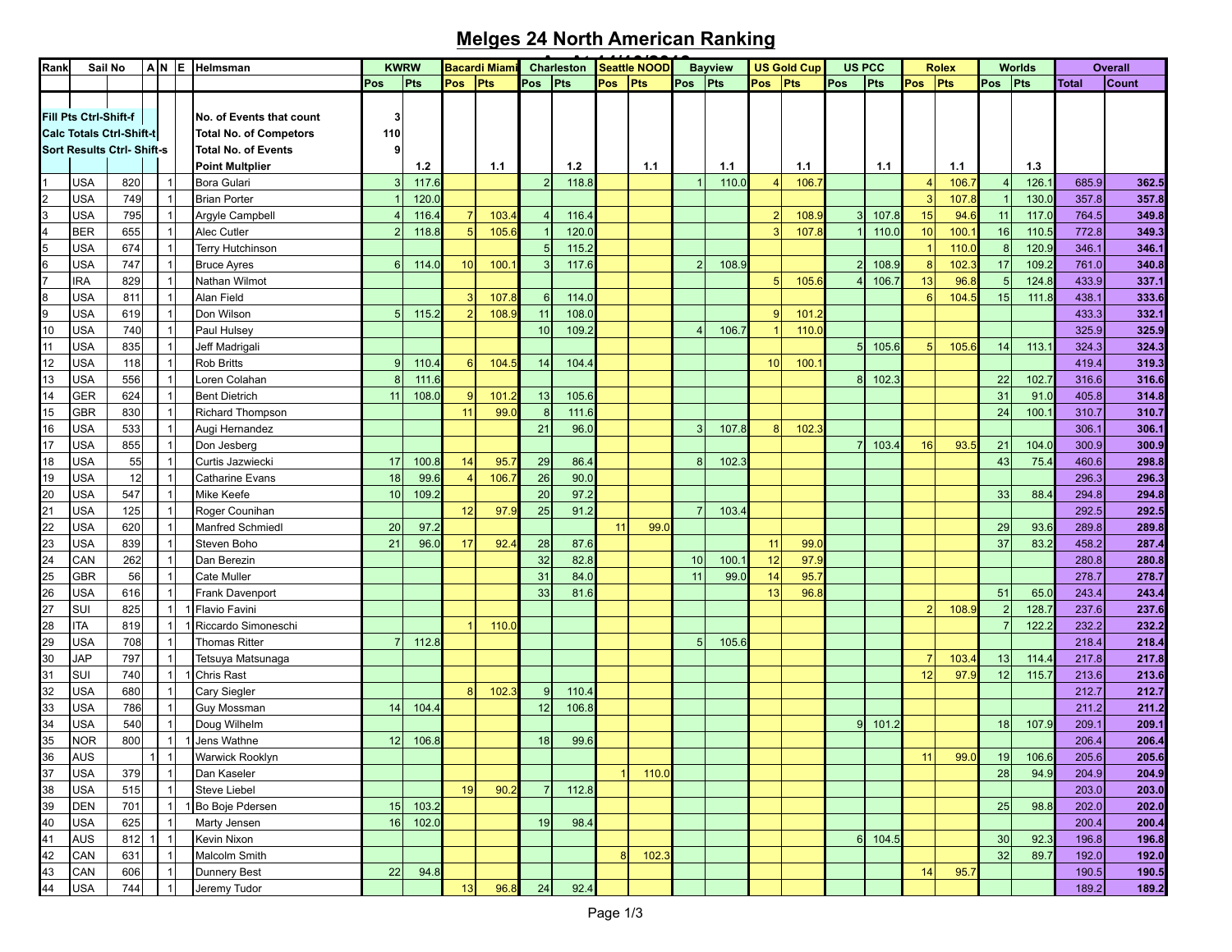## **Melges 24 North American Ranking**

| Rank     | Sail No                                           |            |                                |   | $A N E$  Helmsman                                         |                     | <b>KWRW</b>   |                | <b>Bacardi Miam</b> |                | Charleston   |            | Seattle NOOD |     | <b>Bayview</b> |                | <b>US Gold Cup</b> | <b>US PCC</b>  |       |     | <b>Rolex</b> |          | Worlds |                | <b>Overall</b> |
|----------|---------------------------------------------------|------------|--------------------------------|---|-----------------------------------------------------------|---------------------|---------------|----------------|---------------------|----------------|--------------|------------|--------------|-----|----------------|----------------|--------------------|----------------|-------|-----|--------------|----------|--------|----------------|----------------|
|          |                                                   |            |                                |   |                                                           | Pos                 | Pts           | Pos            | Pts                 | <b>Pos</b>     | Pts          | <b>Pos</b> | Pts          | Pos | Pts            | Pos            | <b>Pts</b>         | Pos            | Pts   | Pos | <b>Pts</b>   | Pos      | Pts    | <b>Total</b>   | <b>Count</b>   |
|          | Fill Pts Ctrl-Shift-f<br>Calc Totals Ctrl-Shift-t |            |                                |   | No. of Events that count<br><b>Total No. of Competors</b> | $\mathbf{3}$<br>110 |               |                |                     |                |              |            |              |     |                |                |                    |                |       |     |              |          |        |                |                |
|          | Sort Results Ctrl-Shift-s                         |            |                                |   | <b>Total No. of Events</b>                                | 9                   |               |                |                     |                |              |            |              |     |                |                |                    |                |       |     |              |          |        |                |                |
|          |                                                   |            |                                |   | <b>Point Multplier</b>                                    |                     | 1.2           |                | 1.1                 |                | 1.2          |            | 1.1          |     | 1.1            |                | 1.1                |                | 1.1   |     | 1.1          |          | 1.3    |                |                |
|          | <b>USA</b>                                        | 820        | $\vert$ 1                      |   | Bora Gulari                                               | 3                   | 117.6         |                |                     | 2 <sup>1</sup> | 118.8        |            |              |     | 110.0          |                | 106.7              |                |       |     | 106.         |          | 126.7  | 685.9          | 362.5          |
|          | <b>USA</b>                                        | 749        | $\mathbf{1}$                   |   | <b>Brian Porter</b>                                       |                     | 120.0         |                |                     |                |              |            |              |     |                |                |                    |                |       |     | 107.         |          | 130.0  | 357.8          | 357.8          |
|          | <b>USA</b>                                        | 795        | $\overline{1}$                 |   | Argyle Campbell                                           |                     | 116.4         |                | 103.                | $\overline{4}$ | 116.4        |            |              |     |                | -2             | 108.9              | 3              | 107.8 | 15  | 94.6         | 11       | 117.0  | 764.5          | 349.8          |
|          | <b>BER</b>                                        | 655        | $\mathbf{1}$                   |   | Alec Cutler                                               |                     | 118.8         |                | 105.                |                | 120.0        |            |              |     |                |                | 107.               |                | 110.0 | 10  | 100.         | 16       | 110.5  | 772.8          | 349.3          |
|          | <b>USA</b>                                        | 674        | $\vert$ 1                      |   | <b>Terry Hutchinson</b>                                   |                     |               |                |                     | 5 <sub>5</sub> | 115.2        |            |              |     |                |                |                    |                |       |     | 110.0        | 8        | 120.9  | 346.1          | 346.1          |
|          | <b>USA</b>                                        | 747        | $\mathbf{1}$                   |   | <b>Bruce Ayres</b>                                        | 6                   | 114.0         | 10             | 100.                | 3              | 117.6        |            |              | 2   | 108.9          |                |                    | $\overline{2}$ | 108.9 |     | 102.3        | 17       | 109.2  | 761.0          | 340.8          |
|          | <b>IRA</b>                                        | 829        | $\overline{1}$                 |   | Nathan Wilmot                                             |                     |               |                |                     |                |              |            |              |     |                | F              | 105.6              |                | 106.7 | 13  | 96.8         |          | 124.8  | 433.9          | 337.1          |
|          | <b>USA</b>                                        | 811        | -1                             |   | Alan Field                                                |                     |               |                | 107.                | $6 \mid$       | 114.0        |            |              |     |                |                |                    |                |       | 6   | 104.5        | 15       | 111.8  | 438.1          | 333.6          |
|          | <b>USA</b><br><b>USA</b>                          | 619<br>740 | $\overline{1}$                 |   | Don Wilson                                                | 5 <sup>1</sup>      | 115.2         |                | 108.5               | 11             | 108.0        |            |              |     |                | $\overline{c}$ | 101.2              |                |       |     |              |          |        | 433.3          | 332.1          |
| 10       |                                                   |            | $\mathbf{1}$<br>$\overline{1}$ |   | Paul Hulsey                                               |                     |               |                |                     | 10             | 109.2        |            |              |     | 106.7          |                | 110.0              |                |       |     |              |          |        | 325.9          | 325.9          |
| 11       | <b>USA</b>                                        | 835        |                                |   | Jeff Madrigali<br><b>Rob Britts</b>                       |                     |               |                |                     |                |              |            |              |     |                |                |                    | 5 <sup>1</sup> | 105.6 |     | 105.6        | 14       | 113.1  | 324.3          | 324.3          |
| 12       | USA                                               | 118        | -1<br>$\overline{1}$           |   |                                                           | 9                   | 110.4         | 6              | 104                 | 14             | 104.4        |            |              |     |                | 10             | 100.               |                |       |     |              |          |        | 419.4          | 319.3          |
| 13       | USA                                               | 556        |                                |   | oren Colahan                                              | 8                   | 111.6         | $\overline{9}$ |                     |                |              |            |              |     |                |                |                    | 8 <sup>1</sup> | 102.3 |     |              | 22       | 102.7  | 316.6          | 316.6          |
| 14       | <b>GER</b>                                        | 624        | -1<br>$\overline{1}$           |   | <b>Bent Dietrich</b>                                      | 11                  | 108.0         | 11             | 101.                | 13             | 105.6        |            |              |     |                |                |                    |                |       |     |              | 31       | 91.C   | 405.8          | 314.8          |
| 15       | <b>GBR</b>                                        | 830        |                                |   | Richard Thompson                                          |                     |               |                | 99.0                | 8              | 111.6        |            |              |     |                |                |                    |                |       |     |              | 24       | 100.1  | 310.7          | 310.7          |
| 16<br>17 | USA<br>USA                                        | 533<br>855 | -1<br>$\overline{1}$           |   | Augi Hernandez                                            |                     |               |                |                     | 21             | 96.0         |            |              | 3   | 107.8          | 8              | 102.3              | 7              |       |     | 93.          |          | 104.0  | 306.1          | 306.1<br>300.9 |
| 18       | <b>USA</b>                                        | 55         | -1                             |   | Don Jesberg<br>Curtis Jazwiecki                           | 17                  |               | 14             | 95.                 | 29             | 86.4         |            |              | -8  | 102.3          |                |                    |                | 103.4 | 16  |              | 21<br>43 | 75.4   | 300.9          |                |
| 19       | <b>USA</b>                                        | 12         |                                |   | Catharine Evans                                           | 18                  | 100.8<br>99.6 |                | 106.                | 26             | 90.0         |            |              |     |                |                |                    |                |       |     |              |          |        | 460.6<br>296.3 | 298.8<br>296.3 |
|          | <b>USA</b>                                        | 547        | -1                             |   |                                                           | 10                  |               |                |                     | 20             |              |            |              |     |                |                |                    |                |       |     |              | 33       |        |                |                |
| 20<br>21 | <b>USA</b>                                        | 125        |                                |   | Mike Keefe                                                |                     | 109.2         | 12             | 97.                 | 25             | 97.2<br>91.2 |            |              |     | 103.4          |                |                    |                |       |     |              |          | 88.4   | 294.8<br>292.5 | 294.8<br>292.5 |
| 22       | <b>USA</b>                                        | 620        | $\mathbf{1}$                   |   | Roger Counihan<br>Manfred Schmiedl                        | 20                  | 97.2          |                |                     |                |              | 11         | 99.0         |     |                |                |                    |                |       |     |              | 29       | 93.6   | 289.8          | 289.8          |
| 23       | <b>USA</b>                                        | 839        |                                |   | Steven Boho                                               | 21                  | 96.0          | 17             | 92.4                | 28             | 87.6         |            |              |     |                | 11             | 99.0               |                |       |     |              | 37       | 83.2   | 458.2          | 287.4          |
| 24       | CAN                                               | 262        | $\mathbf{1}$                   |   | Dan Berezin                                               |                     |               |                |                     | 32             | 82.8         |            |              | 10  | 100.           | 12             | 97.9               |                |       |     |              |          |        | 280.8          | 280.8          |
| 25       | <b>GBR</b>                                        | 56         | -1                             |   | Cate Muller                                               |                     |               |                |                     | 31             | 84.0         |            |              | 11  | 99.0           | 14             | 95.7               |                |       |     |              |          |        | 278.7          | 278.7          |
| 26       | <b>USA</b>                                        | 616        | $\mathbf{1}$                   |   | Frank Davenport                                           |                     |               |                |                     | 33             | 81.6         |            |              |     |                | 13             | 96.8               |                |       |     |              | 51       | 65.0   | 243.4          | 243.4          |
| 27       | SUI                                               | 825        | $\mathbf{1}$                   |   | Flavio Favini                                             |                     |               |                |                     |                |              |            |              |     |                |                |                    |                |       |     | 108.         | 2        | 128.7  | 237.6          | 237.6          |
| 28       | <b>ITA</b>                                        | 819        |                                | 1 | Riccardo Simoneschi                                       |                     |               |                | 110.0               |                |              |            |              |     |                |                |                    |                |       |     |              | 7        | 122.2  | 232.2          | 232.2          |
| 29       | <b>USA</b>                                        | 708        | 1                              |   | <b>Thomas Ritter</b>                                      | $\overline{7}$      | 112.8         |                |                     |                |              |            |              | 5   | 105.6          |                |                    |                |       |     |              |          |        | 218.4          | 218.4          |
| 30       | <b>JAP</b>                                        | 797        | $\overline{1}$                 |   | Tetsuya Matsunaga                                         |                     |               |                |                     |                |              |            |              |     |                |                |                    |                |       |     | 103.4        | 13       | 114.4  | 217.8          | 217.8          |
| 31       | SUI                                               | 740        |                                | 1 | Chris Rast                                                |                     |               |                |                     |                |              |            |              |     |                |                |                    |                |       | 12  | 97.9         | 12       | 115.7  | 213.6          | 213.6          |
| 32       | <b>USA</b>                                        | 680        |                                |   | Cary Siegler                                              |                     |               | 8              | 102.3               | 9              | 110.4        |            |              |     |                |                |                    |                |       |     |              |          |        | 212.7          | 212.7          |
| 33       | <b>USA</b>                                        | 786        | -1                             |   | Guy Mossman                                               | 14                  | 104.4         |                |                     | 12             | 106.8        |            |              |     |                |                |                    |                |       |     |              |          |        | 211.2          | 211.2          |
| 34       | <b>USA</b>                                        | 540        | $\overline{1}$                 |   | Doug Wilhelm                                              |                     |               |                |                     |                |              |            |              |     |                |                |                    | 9              | 101.2 |     |              | 18       | 107.9  | 209.1          | 209.1          |
| 35       | <b>NOR</b>                                        | 800        |                                | 1 | 1 Jens Wathne                                             | 12                  | 106.8         |                |                     | 18             | 99.6         |            |              |     |                |                |                    |                |       |     |              |          |        | 206.4          | 206.4          |
| 36       | AUS                                               |            | $1$ 1                          |   | Warwick Rooklyn                                           |                     |               |                |                     |                |              |            |              |     |                |                |                    |                |       | 11  | 99.0         | 19       | 106.6  | 205.6          | 205.6          |
| 37       | <b>USA</b>                                        | 379        | $\vert$ 1                      |   | Dan Kaseler                                               |                     |               |                |                     |                |              |            | 110.0        |     |                |                |                    |                |       |     |              | 28       | 94.9   | 204.9          | 204.9          |
| 38       | <b>USA</b>                                        | 515        | $\vert$ 1                      |   | Steve Liebel                                              |                     |               | 19             | 90.2                | $\overline{7}$ | 112.8        |            |              |     |                |                |                    |                |       |     |              |          |        | 203.0          | 203.0          |
| 39       | <b>DEN</b>                                        | 701        | $\vert$ 1                      |   | 1 Bo Boje Pdersen                                         | 15                  | 103.2         |                |                     |                |              |            |              |     |                |                |                    |                |       |     |              | 25       | 98.8   | 202.0          | 202.0          |
| 40       | <b>USA</b>                                        | 625        | $\mathbf{1}$                   |   | Marty Jensen                                              | 16                  | 102.0         |                |                     | 19             | 98.4         |            |              |     |                |                |                    |                |       |     |              |          |        | 200.4          | 200.4          |
| 41       | <b>AUS</b>                                        | $812$ 1    | $\vert$ 1                      |   | Kevin Nixon                                               |                     |               |                |                     |                |              |            |              |     |                |                |                    | 6 <sup>1</sup> | 104.5 |     |              | 30       | 92.3   | 196.8          | 196.8          |
| 42       | CAN                                               | 631        | $\mathbf{1}$                   |   | Malcolm Smith                                             |                     |               |                |                     |                |              | 8          | 102.3        |     |                |                |                    |                |       |     |              | 32       | 89.7   | 192.0          | 192.0          |
| 43       | CAN                                               | 606        | $\vert$ 1                      |   | Dunnery Best                                              | 22                  | 94.8          |                |                     |                |              |            |              |     |                |                |                    |                |       | 14  | 95.7         |          |        | 190.5          | 190.5          |
| 44       | <b>USA</b>                                        | 744        | $\mathbf{1}$                   |   | Jeremy Tudor                                              |                     |               | 13             | 96.8                | 24             | 92.4         |            |              |     |                |                |                    |                |       |     |              |          |        | 189.2          | 189.2          |
|          |                                                   |            |                                |   |                                                           |                     |               |                |                     |                |              |            |              |     |                |                |                    |                |       |     |              |          |        |                |                |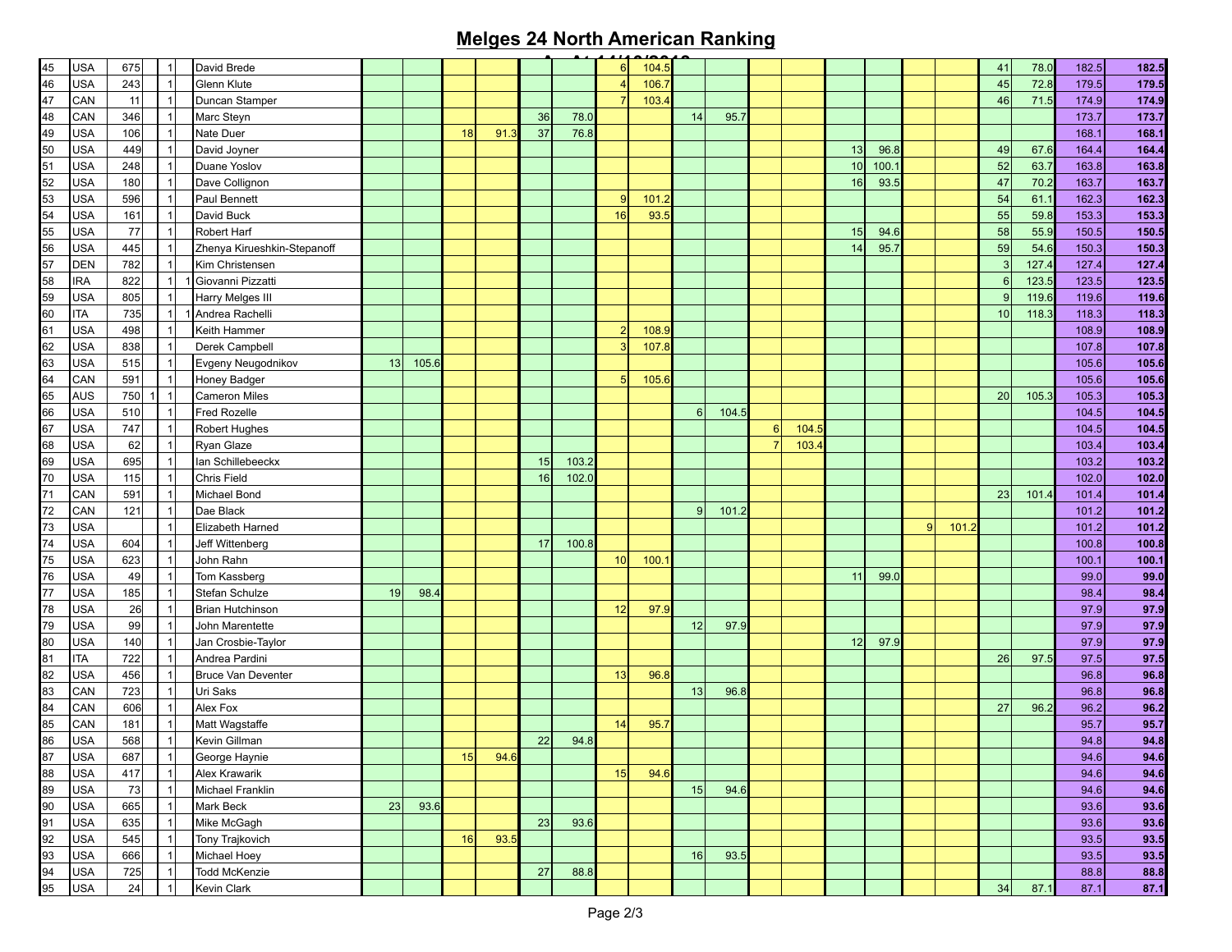## **Melges 24 North American Ranking**

|                                        | <b>USA</b> | 675 |                         | David Brede                 |    |       |    |      |    |       | 6  | 104.5 |              |       |   |       |    |      |   |       | 41              | 78.0  | 182.5 | 182.5 |
|----------------------------------------|------------|-----|-------------------------|-----------------------------|----|-------|----|------|----|-------|----|-------|--------------|-------|---|-------|----|------|---|-------|-----------------|-------|-------|-------|
| 45<br>46<br>47<br>48<br>49<br>50<br>51 | <b>USA</b> | 243 | $\overline{\mathbf{1}}$ | Glenn Klute                 |    |       |    |      |    |       |    | 106.  |              |       |   |       |    |      |   |       | 45              | 72.8  | 179.5 | 179.5 |
|                                        | CAN        | 11  | $\overline{1}$          | Duncan Stamper              |    |       |    |      |    |       |    | 103.  |              |       |   |       |    |      |   |       | 46              | 71.5  | 174.9 | 174.9 |
|                                        | <b>CAN</b> | 346 | $\overline{1}$          | Marc Steyn                  |    |       |    |      | 36 | 78.0  |    |       | 14           | 95.7  |   |       |    |      |   |       |                 |       | 173.7 | 173.7 |
|                                        | <b>USA</b> | 106 | $\overline{1}$          | Nate Duer                   |    |       | 18 | 91.  | 37 | 76.8  |    |       |              |       |   |       |    |      |   |       |                 |       | 168.1 | 168.1 |
|                                        | USA        | 449 | $\overline{1}$          | David Joyner                |    |       |    |      |    |       |    |       |              |       |   |       | 13 | 96.8 |   |       | 49              | 67.6  | 164.4 | 164.4 |
|                                        | <b>USA</b> | 248 | $\overline{1}$          | Duane Yoslov                |    |       |    |      |    |       |    |       |              |       |   |       | 10 | 100. |   |       | 52              | 63.7  | 163.8 | 163.8 |
| 52                                     | USA        | 180 | $\overline{1}$          | Dave Collignon              |    |       |    |      |    |       |    |       |              |       |   |       | 16 | 93.5 |   |       | 47              | 70.2  | 163.7 | 163.7 |
| 53                                     | <b>USA</b> | 596 | $\overline{1}$          | Paul Bennett                |    |       |    |      |    |       | -9 | 101.  |              |       |   |       |    |      |   |       | 54              | 61.1  | 162.3 | 162.3 |
|                                        | <b>USA</b> | 161 | $\overline{1}$          | David Buck                  |    |       |    |      |    |       | 16 | 93.5  |              |       |   |       |    |      |   |       | 55              | 59.8  | 153.3 | 153.3 |
|                                        | USA        | 77  | $\overline{\mathbf{1}}$ | <b>Robert Harf</b>          |    |       |    |      |    |       |    |       |              |       |   |       | 15 | 94.6 |   |       | 58              | 55.9  | 150.5 | 150.5 |
|                                        | <b>USA</b> | 445 | $\overline{1}$          | Zhenya Kirueshkin-Stepanoff |    |       |    |      |    |       |    |       |              |       |   |       | 14 | 95.7 |   |       | 59              | 54.6  | 150.3 | 150.3 |
| $\frac{54}{55}$<br>$\frac{56}{57}$     | <b>DEN</b> | 782 | $\overline{1}$          | Kim Christensen             |    |       |    |      |    |       |    |       |              |       |   |       |    |      |   |       | 3               | 127.4 | 127.4 | 127.4 |
| 58<br>59<br>60                         | <b>IRA</b> | 822 | $\overline{1}$          | Giovanni Pizzatti           |    |       |    |      |    |       |    |       |              |       |   |       |    |      |   |       | 6               | 123.5 | 123.5 | 123.5 |
|                                        | USA        | 805 | $\overline{1}$          | Harry Melges III            |    |       |    |      |    |       |    |       |              |       |   |       |    |      |   |       | q               | 119.6 | 119.6 | 119.6 |
|                                        | <b>ITA</b> | 735 | $\overline{1}$          | 1 Andrea Rachelli           |    |       |    |      |    |       |    |       |              |       |   |       |    |      |   |       | 10              | 118.3 | 118.3 | 118.3 |
| 61                                     | <b>USA</b> | 498 | $\overline{1}$          | Keith Hammer                |    |       |    |      |    |       | -2 | 108.9 |              |       |   |       |    |      |   |       |                 |       | 108.9 | 108.9 |
| 62                                     | USA        | 838 | $\overline{1}$          | Derek Campbell              |    |       |    |      |    |       | 3  | 107.8 |              |       |   |       |    |      |   |       |                 |       | 107.8 | 107.8 |
| 63                                     | <b>USA</b> | 515 | $\overline{1}$          | Evgeny Neugodnikov          | 13 | 105.6 |    |      |    |       |    |       |              |       |   |       |    |      |   |       |                 |       | 105.6 | 105.6 |
| 64                                     | CAN        | 591 | $\overline{1}$          | Honey Badger                |    |       |    |      |    |       | 5  | 105.6 |              |       |   |       |    |      |   |       |                 |       | 105.6 | 105.6 |
| 65                                     | <b>AUS</b> | 750 | $\overline{1}$          | <b>Cameron Miles</b>        |    |       |    |      |    |       |    |       |              |       |   |       |    |      |   |       | 20 <sup>1</sup> | 105.3 | 105.3 | 105.3 |
| 66                                     | <b>USA</b> | 510 | $\overline{1}$          | Fred Rozelle                |    |       |    |      |    |       |    |       | 6            | 104.5 |   |       |    |      |   |       |                 |       | 104.5 | 104.5 |
|                                        | <b>USA</b> | 747 | -1                      | Robert Hughes               |    |       |    |      |    |       |    |       |              |       | 6 | 104.5 |    |      |   |       |                 |       | 104.5 | 104.5 |
| $\frac{67}{68}$                        | <b>USA</b> | 62  |                         | Ryan Glaze                  |    |       |    |      |    |       |    |       |              |       |   | 103.4 |    |      |   |       |                 |       | 103.4 | 103.4 |
|                                        | <b>USA</b> | 695 | $\overline{1}$          | Ian Schillebeeckx           |    |       |    |      | 15 | 103.2 |    |       |              |       |   |       |    |      |   |       |                 |       | 103.2 | 103.2 |
| 69<br>70                               | <b>USA</b> | 115 | $\overline{1}$          | <b>Chris Field</b>          |    |       |    |      | 16 | 102.0 |    |       |              |       |   |       |    |      |   |       |                 |       | 102.0 | 102.0 |
| $\overline{71}$                        | CAN        | 591 | $\overline{\mathbf{1}}$ | Michael Bond                |    |       |    |      |    |       |    |       |              |       |   |       |    |      |   |       | 23              | 101.  | 101.4 | 101.4 |
| $\overline{72}$                        | CAN        | 121 | $\overline{1}$          | Dae Black                   |    |       |    |      |    |       |    |       | $\mathbf{Q}$ | 101.2 |   |       |    |      |   |       |                 |       | 101.2 | 101.2 |
| $\overline{73}$                        | <b>USA</b> |     | $\overline{1}$          | Elizabeth Harned            |    |       |    |      |    |       |    |       |              |       |   |       |    |      | 9 | 101.2 |                 |       | 101.2 | 101.2 |
| $\overline{74}$                        | <b>USA</b> | 604 | $\overline{1}$          | Jeff Wittenberg             |    |       |    |      | 17 | 100.8 |    |       |              |       |   |       |    |      |   |       |                 |       | 100.8 | 100.8 |
|                                        | <b>USA</b> | 623 | $\overline{1}$          | John Rahn                   |    |       |    |      |    |       | 10 | 100.  |              |       |   |       |    |      |   |       |                 |       | 100.1 | 100.1 |
| $\frac{75}{76}$                        | <b>USA</b> | 49  | $\overline{1}$          | Tom Kassberg                |    |       |    |      |    |       |    |       |              |       |   |       |    | 99.0 |   |       |                 |       | 99.0  | 99.0  |
| 77                                     |            |     |                         |                             |    |       |    |      |    |       |    |       |              |       |   |       | 11 |      |   |       |                 |       |       |       |
|                                        | USA        | 185 | $\overline{\mathbf{1}}$ | Stefan Schulze              | 19 | 98.4  |    |      |    |       |    |       |              |       |   |       |    |      |   |       |                 |       | 98.4  | 98.4  |
| 78                                     | <b>USA</b> | 26  | $\overline{1}$          | <b>Brian Hutchinson</b>     |    |       |    |      |    |       | 12 | 97.9  |              |       |   |       |    |      |   |       |                 |       | 97.9  | 97.9  |
| 79                                     | <b>USA</b> | 99  | $\overline{1}$          | John Marentette             |    |       |    |      |    |       |    |       | 12           | 97.9  |   |       |    |      |   |       |                 |       | 97.9  | 97.9  |
| $\frac{80}{81}$                        | USA        | 140 | $\overline{\mathbf{1}}$ | Jan Crosbie-Taylor          |    |       |    |      |    |       |    |       |              |       |   |       | 12 | 97.9 |   |       |                 |       | 97.9  | 97.9  |
|                                        | <b>ITA</b> | 722 | $\overline{1}$          | Andrea Pardini              |    |       |    |      |    |       |    |       |              |       |   |       |    |      |   |       | <b>26</b>       | 97.5  | 97.5  | 97.5  |
| 82                                     | USA        | 456 | $\overline{1}$          | Bruce Van Deventer          |    |       |    |      |    |       | 13 | 96.8  |              |       |   |       |    |      |   |       |                 |       | 96.8  | 96.8  |
| 83                                     | CAN        | 723 | $\overline{1}$          | Uri Saks                    |    |       |    |      |    |       |    |       | 13           | 96.8  |   |       |    |      |   |       |                 |       | 96.8  | 96.8  |
| $\frac{84}{85}$                        | CAN        | 606 | $\overline{1}$          | Alex Fox                    |    |       |    |      |    |       |    |       |              |       |   |       |    |      |   |       | 27              | 96.2  | 96.2  | 96.2  |
|                                        | CAN        | 181 |                         | Matt Wagstaffe              |    |       |    |      |    |       | 14 | 95.7  |              |       |   |       |    |      |   |       |                 |       | 95.7  | 95.7  |
| $\frac{86}{5}$                         | <b>USA</b> | 568 | $\overline{1}$          | Kevin Gillman               |    |       |    |      | 22 | 94.8  |    |       |              |       |   |       |    |      |   |       |                 |       | 94.8  | 94.8  |
| 87<br>88<br>89                         | <b>USA</b> | 687 | $\overline{1}$          | George Haynie               |    |       | 15 | 94.6 |    |       |    |       |              |       |   |       |    |      |   |       |                 |       | 94.6  | 94.6  |
|                                        | <b>USA</b> | 417 | $\overline{1}$          | Alex Krawarik               |    |       |    |      |    |       | 15 | 94.6  |              |       |   |       |    |      |   |       |                 |       | 94.6  | 94.6  |
|                                        | <b>USA</b> | 73  | $\overline{1}$          | Michael Franklin            |    |       |    |      |    |       |    |       | 15           | 94.6  |   |       |    |      |   |       |                 |       | 94.6  | 94.6  |
| 90                                     | <b>USA</b> | 665 | $\overline{1}$          | Mark Beck                   | 23 | 93.6  |    |      |    |       |    |       |              |       |   |       |    |      |   |       |                 |       | 93.6  | 93.6  |
| 91                                     | <b>USA</b> | 635 | $\overline{1}$          | Mike McGagh                 |    |       |    |      | 23 | 93.6  |    |       |              |       |   |       |    |      |   |       |                 |       | 93.6  | 93.6  |
| $\frac{92}{93}$                        | <b>USA</b> | 545 | $\overline{\mathbf{1}}$ | Tony Trajkovich             |    |       | 16 | 93.5 |    |       |    |       |              |       |   |       |    |      |   |       |                 |       | 93.5  | 93.5  |
|                                        | <b>USA</b> | 666 | $\overline{1}$          | Michael Hoey                |    |       |    |      |    |       |    |       | 16           | 93.5  |   |       |    |      |   |       |                 |       | 93.5  | 93.5  |
| $\frac{94}{95}$                        | <b>USA</b> | 725 | $\overline{\mathbf{1}}$ | Todd McKenzie               |    |       |    |      | 27 | 88.8  |    |       |              |       |   |       |    |      |   |       |                 |       | 88.8  | 88.8  |
|                                        | <b>USA</b> | 24  | $\overline{1}$          | Kevin Clark                 |    |       |    |      |    |       |    |       |              |       |   |       |    |      |   |       | 34              | 87.1  | 87.1  | 87.1  |